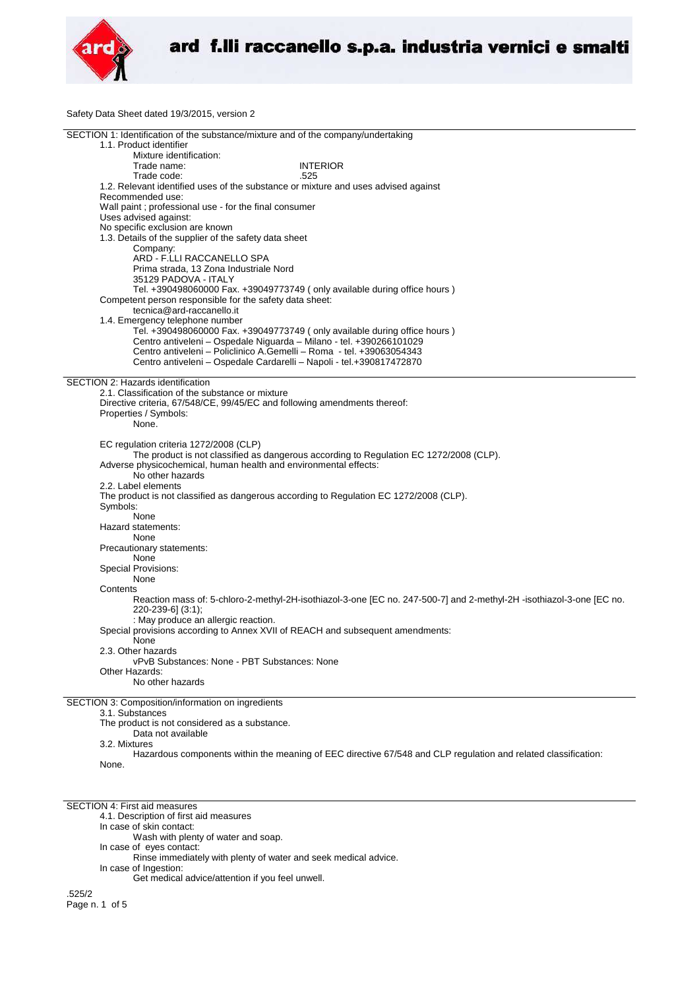

Safety Data Sheet dated 19/3/2015, version 2

| SECTION 1: Identification of the substance/mixture and of the company/undertaking |                                                                                                                      |  |
|-----------------------------------------------------------------------------------|----------------------------------------------------------------------------------------------------------------------|--|
| 1.1. Product identifier                                                           |                                                                                                                      |  |
| Mixture identification:                                                           |                                                                                                                      |  |
| Trade name:                                                                       | <b>INTERIOR</b>                                                                                                      |  |
| Trade code:                                                                       | .525                                                                                                                 |  |
|                                                                                   |                                                                                                                      |  |
|                                                                                   | 1.2. Relevant identified uses of the substance or mixture and uses advised against                                   |  |
| Recommended use:                                                                  |                                                                                                                      |  |
| Wall paint ; professional use - for the final consumer                            |                                                                                                                      |  |
| Uses advised against:                                                             |                                                                                                                      |  |
| No specific exclusion are known                                                   |                                                                                                                      |  |
| 1.3. Details of the supplier of the safety data sheet                             |                                                                                                                      |  |
| Company:                                                                          |                                                                                                                      |  |
| ARD - F.LLI RACCANELLO SPA                                                        |                                                                                                                      |  |
| Prima strada, 13 Zona Industriale Nord                                            |                                                                                                                      |  |
| 35129 PADOVA - ITALY                                                              |                                                                                                                      |  |
|                                                                                   |                                                                                                                      |  |
|                                                                                   | Tel. +390498060000 Fax. +39049773749 (only available during office hours)                                            |  |
| Competent person responsible for the safety data sheet:                           |                                                                                                                      |  |
| tecnica@ard-raccanello.it                                                         |                                                                                                                      |  |
| 1.4. Emergency telephone number                                                   |                                                                                                                      |  |
|                                                                                   | Tel. +390498060000 Fax. +39049773749 (only available during office hours)                                            |  |
|                                                                                   | Centro antiveleni - Ospedale Niguarda - Milano - tel. +390266101029                                                  |  |
|                                                                                   | Centro antiveleni - Policlinico A.Gemelli - Roma - tel. +39063054343                                                 |  |
|                                                                                   | Centro antiveleni - Ospedale Cardarelli - Napoli - tel.+390817472870                                                 |  |
|                                                                                   |                                                                                                                      |  |
| SECTION 2: Hazards identification                                                 |                                                                                                                      |  |
| 2.1. Classification of the substance or mixture                                   |                                                                                                                      |  |
|                                                                                   |                                                                                                                      |  |
| Directive criteria, 67/548/CE, 99/45/EC and following amendments thereof:         |                                                                                                                      |  |
| Properties / Symbols:                                                             |                                                                                                                      |  |
| None.                                                                             |                                                                                                                      |  |
|                                                                                   |                                                                                                                      |  |
| EC regulation criteria 1272/2008 (CLP)                                            |                                                                                                                      |  |
|                                                                                   | The product is not classified as dangerous according to Regulation EC 1272/2008 (CLP).                               |  |
| Adverse physicochemical, human health and environmental effects:                  |                                                                                                                      |  |
| No other hazards                                                                  |                                                                                                                      |  |
| 2.2. Label elements                                                               |                                                                                                                      |  |
|                                                                                   | The product is not classified as dangerous according to Regulation EC 1272/2008 (CLP).                               |  |
|                                                                                   |                                                                                                                      |  |
| Symbols:                                                                          |                                                                                                                      |  |
| None                                                                              |                                                                                                                      |  |
| Hazard statements:                                                                |                                                                                                                      |  |
| None                                                                              |                                                                                                                      |  |
| Precautionary statements:                                                         |                                                                                                                      |  |
| None                                                                              |                                                                                                                      |  |
| <b>Special Provisions:</b>                                                        |                                                                                                                      |  |
| None                                                                              |                                                                                                                      |  |
| Contents                                                                          |                                                                                                                      |  |
|                                                                                   | Reaction mass of: 5-chloro-2-methyl-2H-isothiazol-3-one [EC no. 247-500-7] and 2-methyl-2H -isothiazol-3-one [EC no. |  |
|                                                                                   |                                                                                                                      |  |
| 220-239-6] (3:1);                                                                 |                                                                                                                      |  |
| : May produce an allergic reaction.                                               |                                                                                                                      |  |
|                                                                                   | Special provisions according to Annex XVII of REACH and subsequent amendments:                                       |  |
| None                                                                              |                                                                                                                      |  |
| 2.3. Other hazards                                                                |                                                                                                                      |  |
| vPvB Substances: None - PBT Substances: None                                      |                                                                                                                      |  |
| Other Hazards:                                                                    |                                                                                                                      |  |
| No other hazards                                                                  |                                                                                                                      |  |
|                                                                                   |                                                                                                                      |  |
| SECTION 3: Composition/information on ingredients                                 |                                                                                                                      |  |
| 3.1. Substances                                                                   |                                                                                                                      |  |
| The product is not considered as a substance.                                     |                                                                                                                      |  |
| Data not available                                                                |                                                                                                                      |  |
| 3.2. Mixtures                                                                     |                                                                                                                      |  |
|                                                                                   | Hazardous components within the meaning of EEC directive 67/548 and CLP regulation and related classification:       |  |
| None.                                                                             |                                                                                                                      |  |
|                                                                                   |                                                                                                                      |  |

SECTION 4: First aid measures

4.1. Description of first aid measures

In case of skin contact:

Wash with plenty of water and soap.

In case of eyes contact:

Rinse immediately with plenty of water and seek medical advice. In case of Ingestion:

Get medical advice/attention if you feel unwell.

.525/2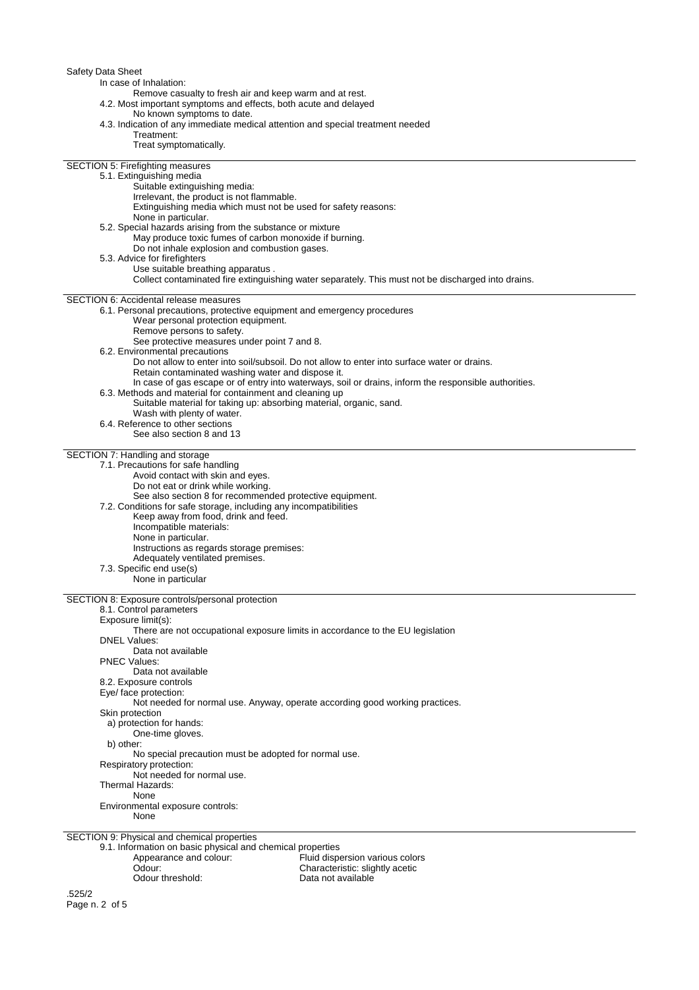| Safety Data Sheet<br>In case of Inhalation:<br>Remove casualty to fresh air and keep warm and at rest.                                                                                          |
|-------------------------------------------------------------------------------------------------------------------------------------------------------------------------------------------------|
| 4.2. Most important symptoms and effects, both acute and delayed<br>No known symptoms to date.<br>4.3. Indication of any immediate medical attention and special treatment needed<br>Treatment: |
| Treat symptomatically.                                                                                                                                                                          |
| <b>SECTION 5: Firefighting measures</b><br>5.1. Extinguishing media                                                                                                                             |
| Suitable extinguishing media:<br>Irrelevant, the product is not flammable.                                                                                                                      |
| Extinguishing media which must not be used for safety reasons:<br>None in particular.                                                                                                           |
| 5.2. Special hazards arising from the substance or mixture<br>May produce toxic fumes of carbon monoxide if burning.                                                                            |
| Do not inhale explosion and combustion gases.<br>5.3. Advice for firefighters                                                                                                                   |
| Use suitable breathing apparatus.                                                                                                                                                               |
| Collect contaminated fire extinguishing water separately. This must not be discharged into drains.                                                                                              |
| <b>SECTION 6: Accidental release measures</b><br>6.1. Personal precautions, protective equipment and emergency procedures                                                                       |
| Wear personal protection equipment.<br>Remove persons to safety.                                                                                                                                |
| See protective measures under point 7 and 8.<br>6.2. Environmental precautions                                                                                                                  |
| Do not allow to enter into soil/subsoil. Do not allow to enter into surface water or drains.<br>Retain contaminated washing water and dispose it.                                               |
| In case of gas escape or of entry into waterways, soil or drains, inform the responsible authorities.<br>6.3. Methods and material for containment and cleaning up                              |
| Suitable material for taking up: absorbing material, organic, sand.                                                                                                                             |
| Wash with plenty of water.<br>6.4. Reference to other sections                                                                                                                                  |
| See also section 8 and 13                                                                                                                                                                       |
| SECTION 7: Handling and storage<br>7.1. Precautions for safe handling                                                                                                                           |
| Avoid contact with skin and eyes.<br>Do not eat or drink while working.                                                                                                                         |
| See also section 8 for recommended protective equipment.<br>7.2. Conditions for safe storage, including any incompatibilities                                                                   |
| Keep away from food, drink and feed.<br>Incompatible materials:                                                                                                                                 |
| None in particular.<br>Instructions as regards storage premises:                                                                                                                                |
| Adequately ventilated premises.                                                                                                                                                                 |
| 7.3. Specific end use(s)<br>None in particular                                                                                                                                                  |
| SECTION 8: Exposure controls/personal protection                                                                                                                                                |
| 8.1. Control parameters<br>Exposure limit(s):                                                                                                                                                   |
| There are not occupational exposure limits in accordance to the EU legislation<br><b>DNEL Values:</b>                                                                                           |
| Data not available<br><b>PNEC Values:</b>                                                                                                                                                       |
| Data not available<br>8.2. Exposure controls                                                                                                                                                    |
| Eye/ face protection:                                                                                                                                                                           |
| Not needed for normal use. Anyway, operate according good working practices.<br>Skin protection                                                                                                 |
| a) protection for hands:<br>One-time gloves.                                                                                                                                                    |
| b) other:<br>No special precaution must be adopted for normal use.                                                                                                                              |
| Respiratory protection:<br>Not needed for normal use.                                                                                                                                           |
| Thermal Hazards:<br>None                                                                                                                                                                        |
| Environmental exposure controls:<br>None                                                                                                                                                        |
| SECTION 9: Physical and chemical properties<br>9.1. Information on basic physical and chemical properties                                                                                       |
| Appearance and colour:<br>Fluid dispersion various colors                                                                                                                                       |
| Odour:<br>Characteristic: slightly acetic<br>Odour threshold:<br>Data not available                                                                                                             |
| .525/2                                                                                                                                                                                          |

Page n. 2 of 5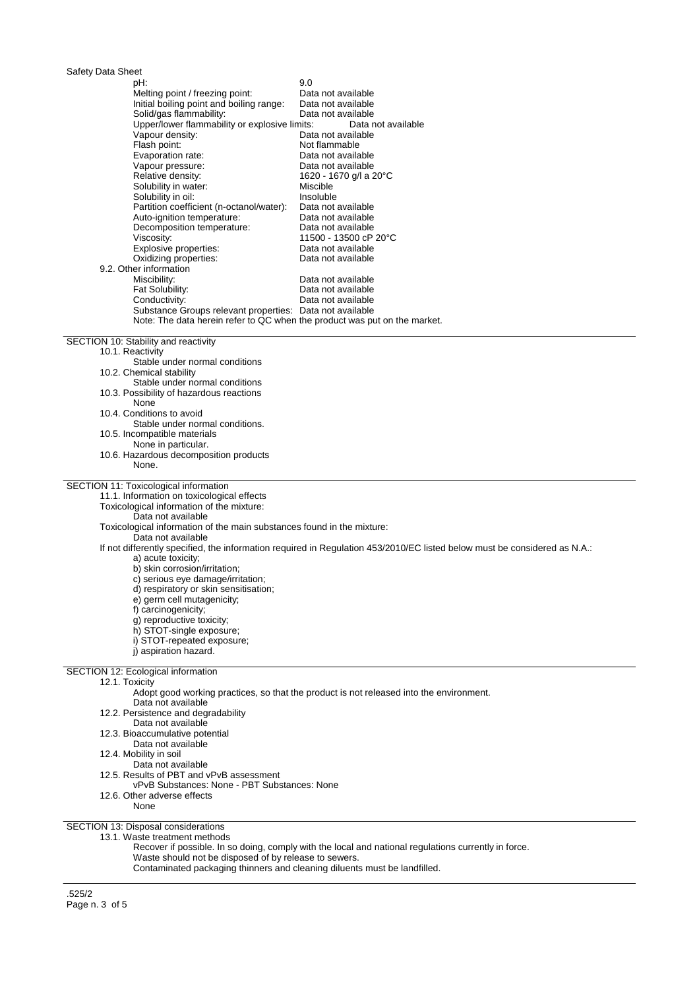| Safety Data Sheet<br>pH:                                                                 | 9.0                                                                                                                       |
|------------------------------------------------------------------------------------------|---------------------------------------------------------------------------------------------------------------------------|
| Melting point / freezing point:                                                          | Data not available                                                                                                        |
| Initial boiling point and boiling range:                                                 | Data not available                                                                                                        |
| Solid/gas flammability:                                                                  | Data not available                                                                                                        |
| Upper/lower flammability or explosive limits:                                            | Data not available                                                                                                        |
| Vapour density:                                                                          | Data not available                                                                                                        |
| Flash point:<br>Evaporation rate:                                                        | Not flammable<br>Data not available                                                                                       |
| Vapour pressure:                                                                         | Data not available                                                                                                        |
| Relative density:                                                                        | 1620 - 1670 g/l a 20°C                                                                                                    |
| Solubility in water:                                                                     | Miscible                                                                                                                  |
| Solubility in oil:                                                                       | Insoluble                                                                                                                 |
| Partition coefficient (n-octanol/water):<br>Auto-ignition temperature:                   | Data not available<br>Data not available                                                                                  |
| Decomposition temperature:                                                               | Data not available                                                                                                        |
| Viscosity:                                                                               | 11500 - 13500 cP 20°C                                                                                                     |
| Explosive properties:                                                                    | Data not available                                                                                                        |
| Oxidizing properties:<br>9.2. Other information                                          | Data not available                                                                                                        |
| Miscibility:                                                                             | Data not available                                                                                                        |
| Fat Solubility:                                                                          | Data not available                                                                                                        |
| Conductivity:                                                                            | Data not available                                                                                                        |
| Substance Groups relevant properties: Data not available                                 |                                                                                                                           |
| Note: The data herein refer to QC when the product was put on the market.                |                                                                                                                           |
| SECTION 10: Stability and reactivity                                                     |                                                                                                                           |
| 10.1. Reactivity                                                                         |                                                                                                                           |
| Stable under normal conditions                                                           |                                                                                                                           |
| 10.2. Chemical stability<br>Stable under normal conditions                               |                                                                                                                           |
| 10.3. Possibility of hazardous reactions                                                 |                                                                                                                           |
| None                                                                                     |                                                                                                                           |
| 10.4. Conditions to avoid                                                                |                                                                                                                           |
| Stable under normal conditions.                                                          |                                                                                                                           |
| 10.5. Incompatible materials                                                             |                                                                                                                           |
| None in particular.<br>10.6. Hazardous decomposition products                            |                                                                                                                           |
| None.                                                                                    |                                                                                                                           |
|                                                                                          |                                                                                                                           |
| SECTION 11: Toxicological information<br>11.1. Information on toxicological effects      |                                                                                                                           |
| Toxicological information of the mixture:                                                |                                                                                                                           |
| Data not available                                                                       |                                                                                                                           |
| Toxicological information of the main substances found in the mixture:                   |                                                                                                                           |
| Data not available                                                                       |                                                                                                                           |
| a) acute toxicity;                                                                       | If not differently specified, the information required in Regulation 453/2010/EC listed below must be considered as N.A.: |
| b) skin corrosion/irritation;                                                            |                                                                                                                           |
| c) serious eye damage/irritation;                                                        |                                                                                                                           |
| d) respiratory or skin sensitisation;                                                    |                                                                                                                           |
| e) germ cell mutagenicity;<br>f) carcinogenicity;                                        |                                                                                                                           |
| q) reproductive toxicity;                                                                |                                                                                                                           |
| h) STOT-single exposure;                                                                 |                                                                                                                           |
| i) STOT-repeated exposure;                                                               |                                                                                                                           |
| i) aspiration hazard.                                                                    |                                                                                                                           |
| SECTION 12: Ecological information                                                       |                                                                                                                           |
| 12.1. Toxicity                                                                           |                                                                                                                           |
|                                                                                          | Adopt good working practices, so that the product is not released into the environment.                                   |
| Data not available                                                                       |                                                                                                                           |
| 12.2. Persistence and degradability<br>Data not available                                |                                                                                                                           |
| 12.3. Bioaccumulative potential                                                          |                                                                                                                           |
| Data not available                                                                       |                                                                                                                           |
| 12.4. Mobility in soil                                                                   |                                                                                                                           |
| Data not available                                                                       |                                                                                                                           |
| 12.5. Results of PBT and vPvB assessment<br>vPvB Substances: None - PBT Substances: None |                                                                                                                           |
| 12.6. Other adverse effects                                                              |                                                                                                                           |
| None                                                                                     |                                                                                                                           |
|                                                                                          |                                                                                                                           |

SECTION 13: Disposal considerations

13.1. Waste treatment methods

Recover if possible. In so doing, comply with the local and national regulations currently in force.

Waste should not be disposed of by release to sewers.

Contaminated packaging thinners and cleaning diluents must be landfilled.

.525/2 Page n. 3 of 5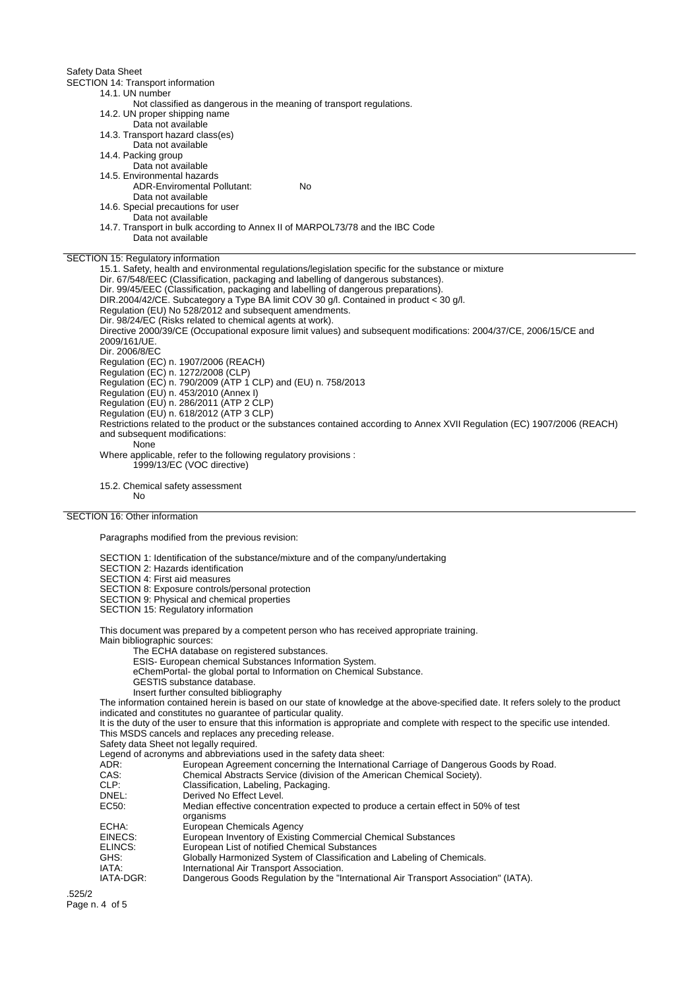Safety Data Sheet

SECTION 14: Transport information

14.1. UN number Not classified as dangerous in the meaning of transport regulations.

14.2. UN proper shipping name

- Data not available
- 14.3. Transport hazard class(es)
- Data not available
- 14.4. Packing group
	- Data not available
- 14.5. Environmental hazards ADR-Enviromental Pollutant: No
	-
	- Data not available
- 14.6. Special precautions for user
	- Data not available
- 14.7. Transport in bulk according to Annex II of MARPOL73/78 and the IBC Code Data not available

SECTION 15: Regulatory information

15.1. Safety, health and environmental regulations/legislation specific for the substance or mixture Dir. 67/548/EEC (Classification, packaging and labelling of dangerous substances). Dir. 99/45/EEC (Classification, packaging and labelling of dangerous preparations). DIR.2004/42/CE. Subcategory a Type BA limit COV 30 g/l. Contained in product < 30 g/l. Regulation (EU) No 528/2012 and subsequent amendments. Dir. 98/24/EC (Risks related to chemical agents at work). Directive 2000/39/CE (Occupational exposure limit values) and subsequent modifications: 2004/37/CE, 2006/15/CE and 2009/161/UE. Dir. 2006/8/EC Regulation (EC) n. 1907/2006 (REACH) Regulation (EC) n. 1272/2008 (CLP) Regulation (EC) n. 790/2009 (ATP 1 CLP) and (EU) n. 758/2013 Regulation (EU) n. 453/2010 (Annex I) Regulation (EU) n. 286/2011 (ATP 2 CLP) Regulation (EU) n. 618/2012 (ATP 3 CLP) Restrictions related to the product or the substances contained according to Annex XVII Regulation (EC) 1907/2006 (REACH) and subsequent modifications: None Where applicable, refer to the following regulatory provisions : 1999/13/EC (VOC directive)

15.2. Chemical safety assessment No

## SECTION 16: Other information

Paragraphs modified from the previous revision:

- SECTION 1: Identification of the substance/mixture and of the company/undertaking
- SECTION 2: Hazards identification

SECTION 4: First aid measures

- SECTION 8: Exposure controls/personal protection
- SECTION 9: Physical and chemical properties
- SECTION 15: Regulatory information

This document was prepared by a competent person who has received appropriate training. Main bibliographic sources:

- The ECHA database on registered substances.
- ESIS- European chemical Substances Information System.
- eChemPortal- the global portal to Information on Chemical Substance.
- GESTIS substance database.
- Insert further consulted bibliography

The information contained herein is based on our state of knowledge at the above-specified date. It refers solely to the product indicated and constitutes no guarantee of particular quality.

It is the duty of the user to ensure that this information is appropriate and complete with respect to the specific use intended. This MSDS cancels and replaces any preceding release.

Safety data Sheet not legally required.

- Legend of acronyms and abbreviations used in the safety data sheet:<br>ADR: European Agreement concerning the Internationa ADR: European Agreement concerning the International Carriage of Dangerous Goods by Road.<br>CAS: Chemical Abstracts Service (division of the American Chemical Society).
	- Chemical Abstracts Service (division of the American Chemical Society).
- CLP: Classification, Labeling, Packaging.<br>
Derived No Fffect Level.
- DNEL:<br>
Derived No Effect Level.<br>
EC50: Median effective concer
	- Median effective concentration expected to produce a certain effect in 50% of test organisms
- ECHA: European Chemicals Agency<br>EINECS: European Inventory of Existin
- EINECS: European Inventory of Existing Commercial Chemical Substances<br>ELINCS: European List of notified Chemical Substances
- European List of notified Chemical Substances
- GHS: Globally Harmonized System of Classification and Labeling of Chemicals.<br>
IATA: International Air Transport Association.
- IATA: International Air Transport Association.<br>IATA-DGR: Dangerous Goods Regulation by the "In
- Dangerous Goods Regulation by the "International Air Transport Association" (IATA).

.525/2